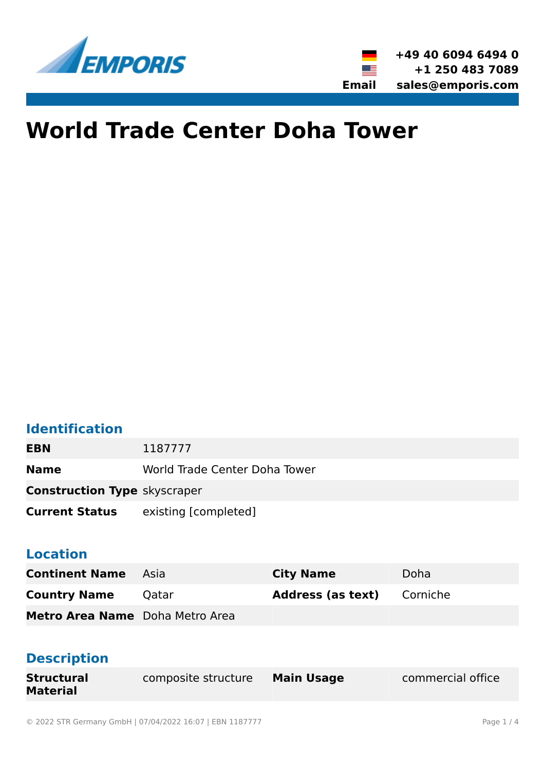

# **World Trade Center Doha Tower**

#### **Identification**

**EBN** 1187777

**Name** World Trade Center Doha Tower

**Construction Type** skyscraper

**Current Status** existing [completed]

#### **Location**

| <b>Continent Name</b> Asia      |       | <b>City Name</b>         | Doha     |
|---------------------------------|-------|--------------------------|----------|
| <b>Country Name</b>             | Oatar | <b>Address (as text)</b> | Corniche |
| Metro Area Name Doha Metro Area |       |                          |          |

#### **Description**

| <b>Structural</b> | <b>Composite structure</b> | <b>Main Usage</b> | commercial office |
|-------------------|----------------------------|-------------------|-------------------|
| <b>Material</b>   |                            |                   |                   |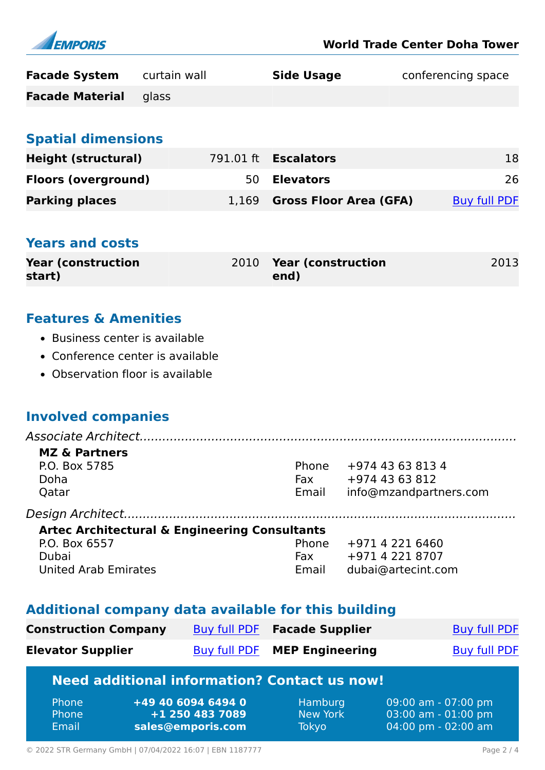

| <b>Facade System</b>   | curtain wall | <b>Side Usage</b> | conferencing space |
|------------------------|--------------|-------------------|--------------------|
| <b>Facade Material</b> | alass        |                   |                    |

#### **Spatial dimensions**

| Height (structural)        | 791.01 ft <b>Escalators</b>  | 18                  |
|----------------------------|------------------------------|---------------------|
| <b>Floors (overground)</b> | 50 <b>Elevators</b>          | 26                  |
| <b>Parking places</b>      | 1,169 Gross Floor Area (GFA) | <b>Buy full PDF</b> |

#### **Years and costs**

| <b>Year (construction)</b> | 2010 Year (construction | 2013 |
|----------------------------|-------------------------|------|
| start)                     | end)                    |      |

#### **Features & Amenities**

- Business center is available
- Conference center is available
- Observation floor is available

#### **Involved companies**

*Associate Architect....................................................................................................*

#### **MZ & Partners** P.O. Box 5785 Doha Qatar Phone +974 43 63 813 4 Fax +974 43 63 812 Email info@mzandpartners.com

*Design Architect........................................................................................................*

#### **Artec Architectural & Engineering Consultants** P.O. Box 6557 Phone +971 4 221 6460

| Dubai                | Fax | +97142218707             |
|----------------------|-----|--------------------------|
| United Arab Emirates |     | Email dubai@artecint.com |

#### **Additional company data available for this building**

| <b>Construction Company</b> | Buy full PDF <b>Facade Supplier</b> | <b>Buy full PDF</b> |
|-----------------------------|-------------------------------------|---------------------|
| <b>Elevator Supplier</b>    | Buy full PDF MEP Engineering        | <b>Buy full PDF</b> |

### **Need additional information? Contact us now!**

| <b>Phone</b> | +49 40 6094 6494 0 | Hamburg  | 09:00 am - 07:00 pm                   |
|--------------|--------------------|----------|---------------------------------------|
| <b>Phone</b> | +1 250 483 7089    | New York | $03:00$ am - $01:00$ pm               |
| Email        | sales@emporis.com  | Tokyo    | $04:00 \text{ pm} - 02:00 \text{ am}$ |
|              |                    |          |                                       |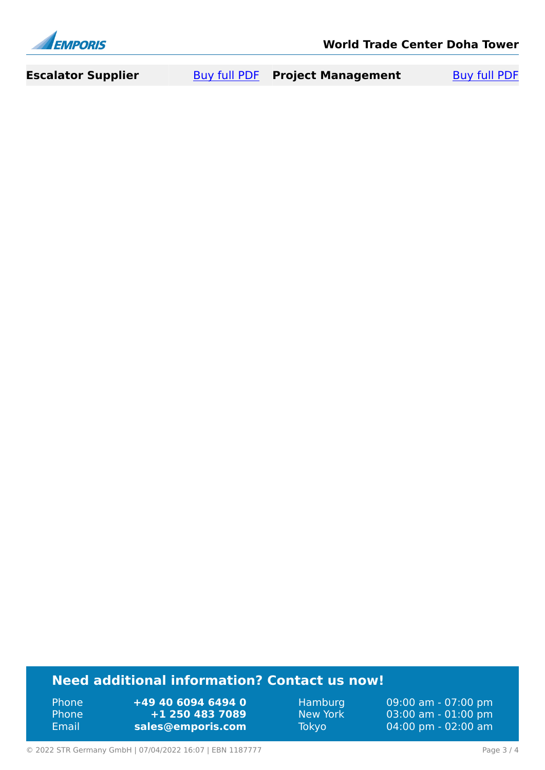

| <b>Escalator Supplier</b> | <b>Buy full PDF</b> | <b>Project Management</b> | <b>Buy full PDF</b> |
|---------------------------|---------------------|---------------------------|---------------------|
|---------------------------|---------------------|---------------------------|---------------------|

### **Need additional information? Contact us now!**

Phone **+49 40 6094 6494 0<br>
Phone <b>+1 250 483 7089** Phone **+1 250 483 7089** Email **<sales@emporis.com>**

Hamburg 09:00 am - 07:00 pm<br>New York 03:00 am - 01:00 pm New York 03:00 am - 01:00 pm<br>Tokyo 04:00 pm - 02:00 am 04:00 pm - 02:00 am